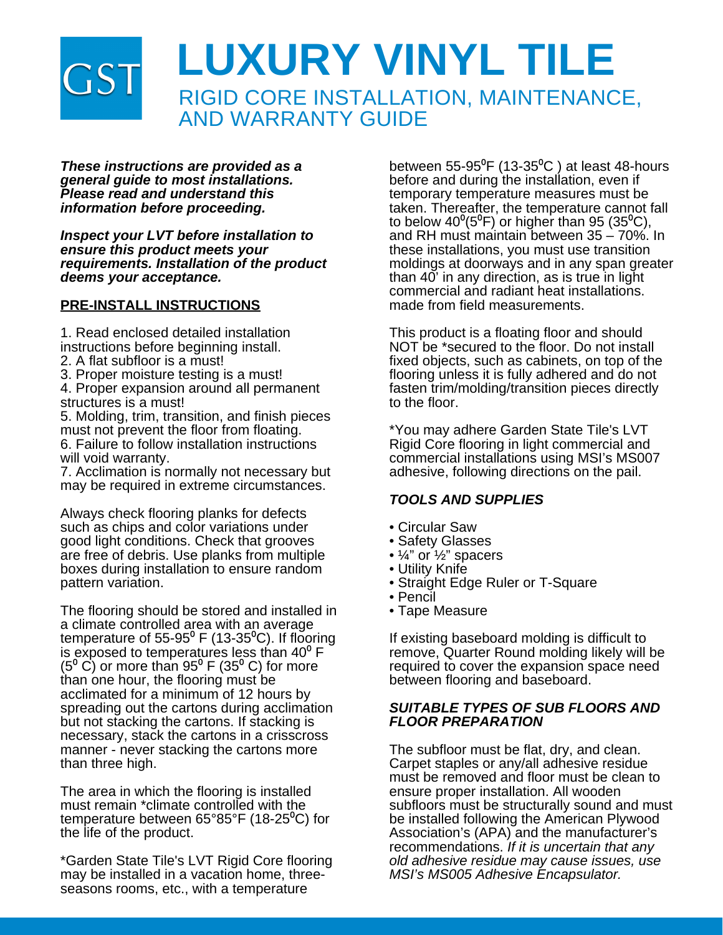

*These instructions are provided as a general guide to most installations. Please read and understand this information before proceeding.*

*Inspect your LVT before installation to ensure this product meets your requirements. Installation of the product deems your acceptance.*

### **PRE-INSTALL INSTRUCTIONS**

1. Read enclosed detailed installation instructions before beginning install.

- 2. A flat subfloor is a must!
- 3. Proper moisture testing is a must!
- 4. Proper expansion around all permanent structures is a must!

5. Molding, trim, transition, and finish pieces must not prevent the floor from floating. 6. Failure to follow installation instructions will void warranty.

7. Acclimation is normally not necessary but may be required in extreme circumstances.

Always check flooring planks for defects such as chips and color variations under good light conditions. Check that grooves are free of debris. Use planks from multiple boxes during installation to ensure random pattern variation.

The flooring should be stored and installed in a climate controlled area with an average temperature of  $55-95^\circ$  F (13-35 $^\circ$ C). If flooring is exposed to temperatures less than  $40^{\circ}$  F  $(5^{\circ}$  C) or more than 95<sup>°</sup> F (35<sup>°</sup> C) for more than one hour, the flooring must be acclimated for a minimum of 12 hours by spreading out the cartons during acclimation but not stacking the cartons. If stacking is necessary, stack the cartons in a crisscross manner - never stacking the cartons more than three high.

The area in which the flooring is installed must remain \*climate controlled with the temperature between  $65^{\circ}85^{\circ}$ F (18-25<sup>o</sup>C) for the life of the product.

\*Garden State Tile's LVT Rigid Core flooring may be installed in a vacation home, threeseasons rooms, etc., with a temperature

between 55-95 $\mathrm{^0F}$  (13-35 $\mathrm{^0C}$ ) at least 48-hours before and during the installation, even if temporary temperature measures must be taken. Thereafter, the temperature cannot fall to below  $40^{\circ}$ (5<sup>o</sup>F) or higher than 95 (35<sup>o</sup>C), and RH must maintain between 35 – 70%. In these installations, you must use transition moldings at doorways and in any span greater than 40' in any direction, as is true in light commercial and radiant heat installations. made from field measurements.

This product is a floating floor and should NOT be \*secured to the floor. Do not install fixed objects, such as cabinets, on top of the flooring unless it is fully adhered and do not fasten trim/molding/transition pieces directly to the floor.

\*You may adhere Garden State Tile's LVT Rigid Core flooring in light commercial and commercial installations using MSI's MS007 adhesive, following directions on the pail.

### *TOOLS AND SUPPLIES*

- Circular Saw
- Safety Glasses
- ¼" or ½" spacers
- Utility Knife
- Straight Edge Ruler or T-Square
- Pencil
- Tape Measure

If existing baseboard molding is difficult to remove, Quarter Round molding likely will be required to cover the expansion space need between flooring and baseboard.

### *SUITABLE TYPES OF SUB FLOORS AND FLOOR PREPARATION*

The subfloor must be flat, dry, and clean. Carpet staples or any/all adhesive residue must be removed and floor must be clean to ensure proper installation. All wooden subfloors must be structurally sound and must be installed following the American Plywood Association's (APA) and the manufacturer's recommendations. *If it is uncertain that any old adhesive residue may cause issues, use MSI's MS005 Adhesive Encapsulator.*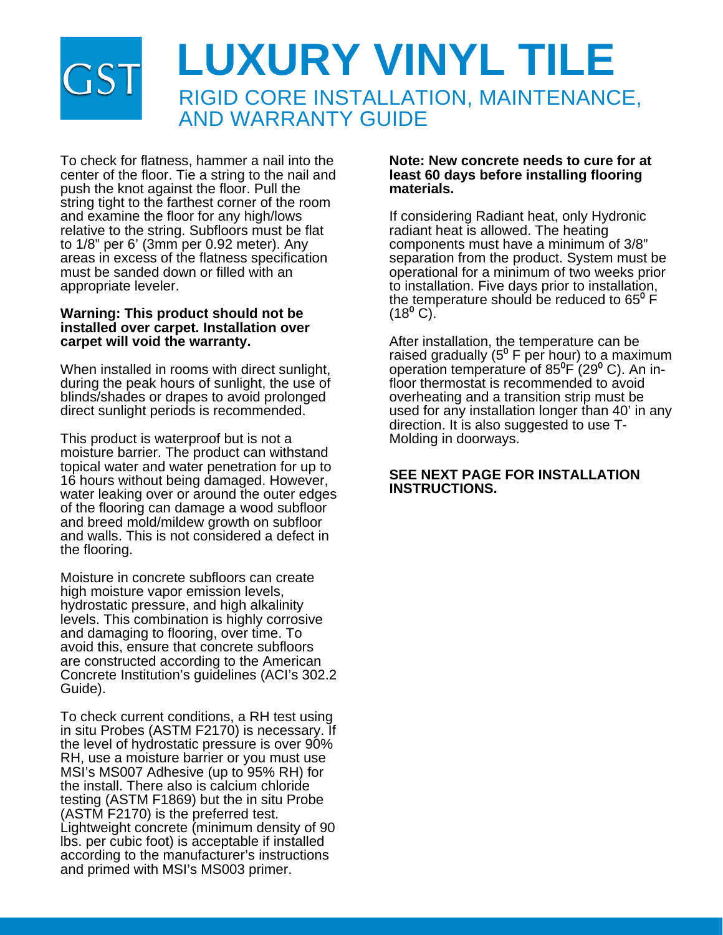# **LUXURY VINYL TILE** RIGID CORE INSTALLATION, MAINTENANCE, AND WARRANTY GUIDE

To check for flatness, hammer a nail into the center of the floor. Tie a string to the nail and push the knot against the floor. Pull the string tight to the farthest corner of the room and examine the floor for any high/lows relative to the string. Subfloors must be flat to 1/8" per 6' (3mm per 0.92 meter). Any areas in excess of the flatness specification must be sanded down or filled with an appropriate leveler.

### **Warning: This product should not be installed over carpet. Installation over carpet will void the warranty.**

When installed in rooms with direct sunlight, during the peak hours of sunlight, the use of blinds/shades or drapes to avoid prolonged direct sunlight periods is recommended.

This product is waterproof but is not a moisture barrier. The product can withstand topical water and water penetration for up to 16 hours without being damaged. However, water leaking over or around the outer edges of the flooring can damage a wood subfloor and breed mold/mildew growth on subfloor and walls. This is not considered a defect in the flooring.

Moisture in concrete subfloors can create high moisture vapor emission levels, hydrostatic pressure, and high alkalinity levels. This combination is highly corrosive and damaging to flooring, over time. To avoid this, ensure that concrete subfloors are constructed according to the American Concrete Institution's guidelines (ACI's 302.2 Guide).

To check current conditions, a RH test using in situ Probes (ASTM F2170) is necessary. If the level of hydrostatic pressure is over 90% RH, use a moisture barrier or you must use MSI's MS007 Adhesive (up to 95% RH) for the install. There also is calcium chloride testing (ASTM F1869) but the in situ Probe (ASTM F2170) is the preferred test. Lightweight concrete (minimum density of 90 lbs. per cubic foot) is acceptable if installed according to the manufacturer's instructions and primed with MSI's MS003 primer.

### **Note: New concrete needs to cure for at least 60 days before installing flooring materials.**

If considering Radiant heat, only Hydronic radiant heat is allowed. The heating components must have a minimum of 3/8" separation from the product. System must be operational for a minimum of two weeks prior to installation. Five days prior to installation, the temperature should be reduced to  $65^{\circ}$  F  $(18^{\circ} C).$ 

After installation, the temperature can be raised gradually (5<sup>°</sup> F per hour) to a maximum operation temperature of  $85^{\circ}F(29^{\circ}C)$ . An infloor thermostat is recommended to avoid overheating and a transition strip must be used for any installation longer than 40' in any direction. It is also suggested to use T-Molding in doorways.

### **SEE NEXT PAGE FOR INSTALLATION INSTRUCTIONS.**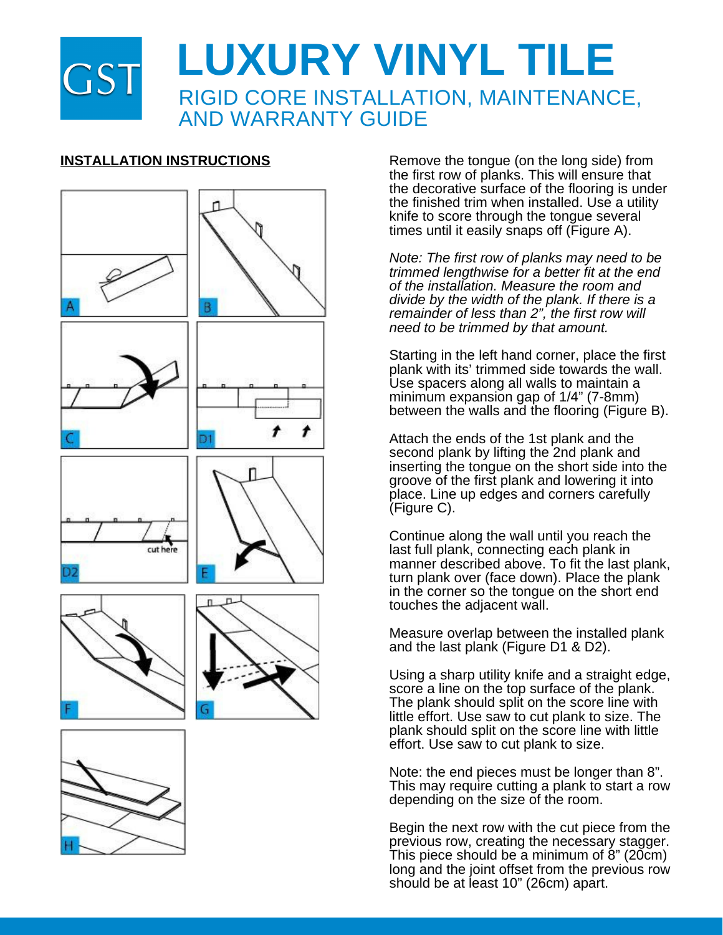



**INSTALLATION INSTRUCTIONS** Remove the tongue (on the long side) from the first row of planks. This will ensure that the decorative surface of the flooring is under the finished trim when installed. Use a utility knife to score through the tongue several times until it easily snaps off (Figure A).

> *Note: The first row of planks may need to be trimmed lengthwise for a better fit at the end of the installation. Measure the room and divide by the width of the plank. If there is a remainder of less than 2", the first row will need to be trimmed by that amount.*

Starting in the left hand corner, place the first plank with its' trimmed side towards the wall. Use spacers along all walls to maintain a minimum expansion gap of 1/4" (7-8mm) between the walls and the flooring (Figure B).

Attach the ends of the 1st plank and the second plank by lifting the 2nd plank and inserting the tongue on the short side into the groove of the first plank and lowering it into place. Line up edges and corners carefully (Figure C).

Continue along the wall until you reach the last full plank, connecting each plank in manner described above. To fit the last plank, turn plank over (face down). Place the plank in the corner so the tongue on the short end touches the adjacent wall.

Measure overlap between the installed plank and the last plank (Figure D1 & D2).

Using a sharp utility knife and a straight edge, score a line on the top surface of the plank. The plank should split on the score line with little effort. Use saw to cut plank to size. The plank should split on the score line with little effort. Use saw to cut plank to size.

Note: the end pieces must be longer than 8". This may require cutting a plank to start a row depending on the size of the room.

Begin the next row with the cut piece from the previous row, creating the necessary stagger. This piece should be a minimum of 8" (20cm) long and the joint offset from the previous row should be at least 10" (26cm) apart.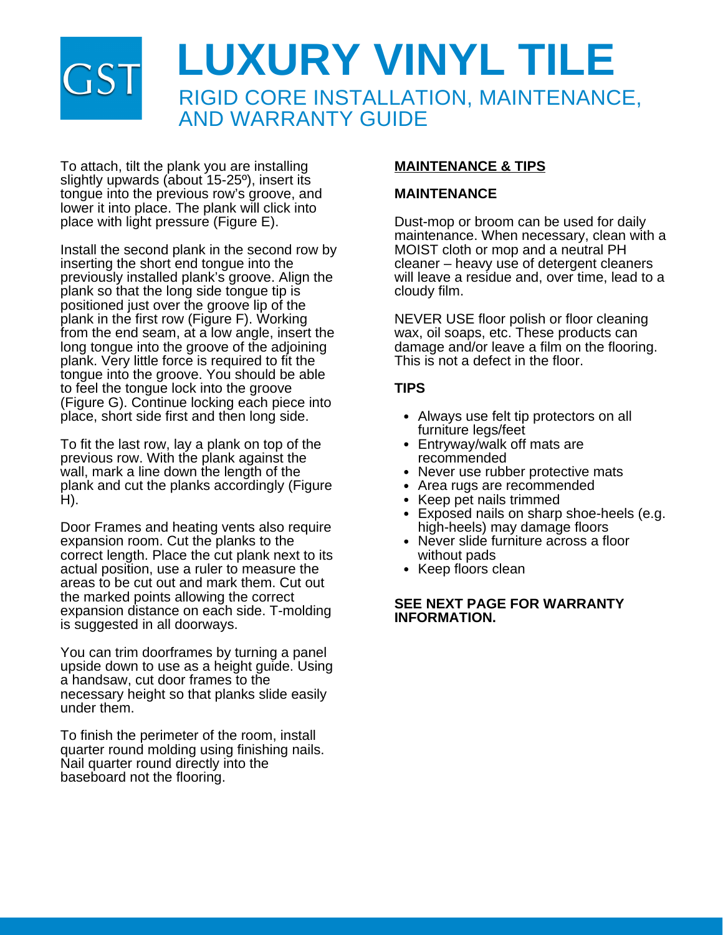# **LUXURY VINYL TILE** RIGID CORE INSTALLATION, MAINTENANCE, AND WARRANTY GUIDE

To attach, tilt the plank you are installing slightly upwards (about 15-25º), insert its tongue into the previous row's groove, and lower it into place. The plank will click into place with light pressure (Figure E).

Install the second plank in the second row by inserting the short end tongue into the previously installed plank's groove. Align the plank so that the long side tongue tip is positioned just over the groove lip of the plank in the first row (Figure F). Working from the end seam, at a low angle, insert the long tongue into the groove of the adjoining plank. Very little force is required to fit the tongue into the groove. You should be able to feel the tongue lock into the groove (Figure G). Continue locking each piece into place, short side first and then long side.

To fit the last row, lay a plank on top of the previous row. With the plank against the wall, mark a line down the length of the plank and cut the planks accordingly (Figure H).

Door Frames and heating vents also require expansion room. Cut the planks to the correct length. Place the cut plank next to its actual position, use a ruler to measure the areas to be cut out and mark them. Cut out the marked points allowing the correct expansion distance on each side. T-molding is suggested in all doorways.

You can trim doorframes by turning a panel upside down to use as a height guide. Using a handsaw, cut door frames to the necessary height so that planks slide easily under them.

To finish the perimeter of the room, install quarter round molding using finishing nails. Nail quarter round directly into the baseboard not the flooring.

### **MAINTENANCE & TIPS**

### **MAINTENANCE**

Dust-mop or broom can be used for daily maintenance. When necessary, clean with a MOIST cloth or mop and a neutral PH cleaner – heavy use of detergent cleaners will leave a residue and, over time, lead to a cloudy film.

NEVER USE floor polish or floor cleaning wax, oil soaps, etc. These products can damage and/or leave a film on the flooring. This is not a defect in the floor.

## **TIPS**

- Always use felt tip protectors on all furniture legs/feet
- Entryway/walk off mats are recommended
- Never use rubber protective mats
- Area rugs are recommended
- Keep pet nails trimmed
- Exposed nails on sharp shoe-heels (e.g. high-heels) may damage floors
- Never slide furniture across a floor without pads
- Keep floors clean

### **SEE NEXT PAGE FOR WARRANTY INFORMATION.**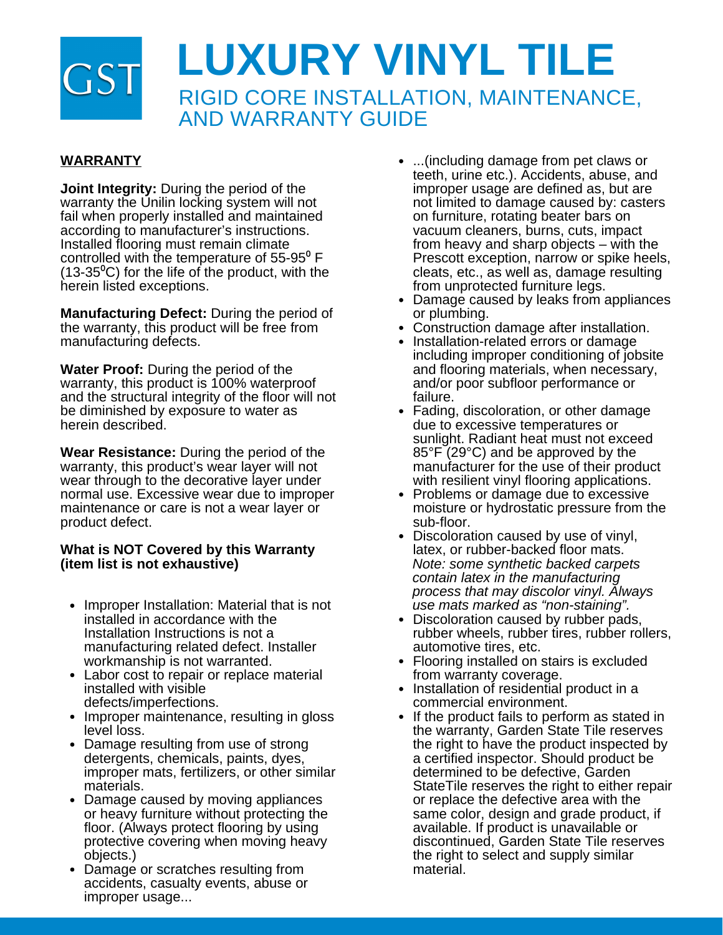

# **WARRANTY**

**Joint Integrity:** During the period of the warranty the Unilin locking system will not fail when properly installed and maintained according to manufacturer's instructions. Installed flooring must remain climate controlled with the temperature of  $55-95^{\circ}$  F  $(13-35^{\circ}C)$  for the life of the product, with the herein listed exceptions.

**Manufacturing Defect:** During the period of the warranty, this product will be free from manufacturing defects.

**Water Proof:** During the period of the warranty, this product is 100% waterproof and the structural integrity of the floor will not be diminished by exposure to water as herein described.

**Wear Resistance:** During the period of the warranty, this product's wear layer will not wear through to the decorative layer under normal use. Excessive wear due to improper maintenance or care is not a wear layer or product defect.

### **What is NOT Covered by this Warranty (item list is not exhaustive)**

- Improper Installation: Material that is not installed in accordance with the Installation Instructions is not a manufacturing related defect. Installer workmanship is not warranted.
- Labor cost to repair or replace material installed with visible defects/imperfections.
- Improper maintenance, resulting in gloss level loss.
- Damage resulting from use of strong detergents, chemicals, paints, dyes, improper mats, fertilizers, or other similar materials.
- Damage caused by moving appliances or heavy furniture without protecting the floor. (Always protect flooring by using protective covering when moving heavy objects.)
- Damage or scratches resulting from accidents, casualty events, abuse or improper usage...
- ...(including damage from pet claws or teeth, urine etc.). Accidents, abuse, and improper usage are defined as, but are not limited to damage caused by: casters on furniture, rotating beater bars on vacuum cleaners, burns, cuts, impact from heavy and sharp objects – with the Prescott exception, narrow or spike heels, cleats, etc., as well as, damage resulting from unprotected furniture legs.
- Damage caused by leaks from appliances or plumbing.
- Construction damage after installation.
- Installation-related errors or damage including improper conditioning of jobsite and flooring materials, when necessary, and/or poor subfloor performance or failure.
- Fading, discoloration, or other damage due to excessive temperatures or sunlight. Radiant heat must not exceed 85°F (29°C) and be approved by the manufacturer for the use of their product with resilient vinyl flooring applications.
- Problems or damage due to excessive moisture or hydrostatic pressure from the sub-floor.
- Discoloration caused by use of vinyl, latex, or rubber-backed floor mats. *Note: some synthetic backed carpets contain latex in the manufacturing process that may discolor vinyl. Always use mats marked as "non-staining".*
- Discoloration caused by rubber pads, rubber wheels, rubber tires, rubber rollers, automotive tires, etc.
- Flooring installed on stairs is excluded  $\bullet$ from warranty coverage.
- Installation of residential product in a commercial environment.
- If the product fails to perform as stated in the warranty, Garden State Tile reserves the right to have the product inspected by a certified inspector. Should product be determined to be defective, Garden StateTile reserves the right to either repair or replace the defective area with the same color, design and grade product, if available. If product is unavailable or discontinued, Garden State Tile reserves the right to select and supply similar material.